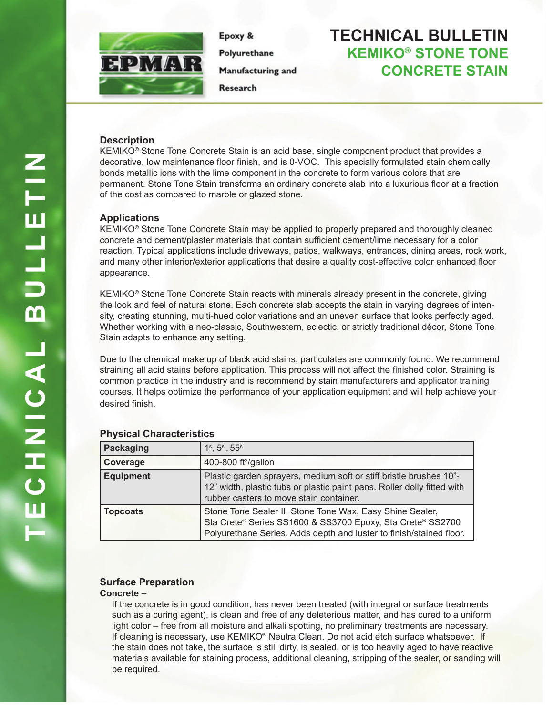

Epoxy & Polyurethane Manufacturing and

Research

# **TECHNICAL BULLETIN KEMIKO® STONE TONE CONCRETE STAIN**

## **Description**

KEMIKO® Stone Tone Concrete Stain is an acid base, single component product that provides a decorative, low maintenance floor finish, and is 0-VOC. This specially formulated stain chemically bonds metallic ions with the lime component in the concrete to form various colors that are permanent. Stone Tone Stain transforms an ordinary concrete slab into a luxurious floor at a fraction of the cost as compared to marble or glazed stone.

### **Applications**

KEMIKO® Stone Tone Concrete Stain may be applied to properly prepared and thoroughly cleaned concrete and cement/plaster materials that contain sufficient cement/lime necessary for a color reaction. Typical applications include driveways, patios, walkways, entrances, dining areas, rock work, and many other interior/exterior applications that desire a quality cost-effective color enhanced floor appearance.

KEMIKO® Stone Tone Concrete Stain reacts with minerals already present in the concrete, giving the look and feel of natural stone. Each concrete slab accepts the stain in varying degrees of intensity, creating stunning, multi-hued color variations and an uneven surface that looks perfectly aged. Whether working with a neo-classic, Southwestern, eclectic, or strictly traditional décor, Stone Tone Stain adapts to enhance any setting.

Due to the chemical make up of black acid stains, particulates are commonly found. We recommend straining all acid stains before application. This process will not affect the finished color. Straining is common practice in the industry and is recommend by stain manufacturers and applicator training courses. It helps optimize the performance of your application equipment and will help achieve your desired finish.

| Packaging        | $1^{\rm s}, 5^{\rm s}, 55^{\rm s}$                                                                                                                                                            |
|------------------|-----------------------------------------------------------------------------------------------------------------------------------------------------------------------------------------------|
| Coverage         | 400-800 ft <sup>2</sup> /gallon                                                                                                                                                               |
| <b>Equipment</b> | Plastic garden sprayers, medium soft or stiff bristle brushes 10"-<br>12" width, plastic tubs or plastic paint pans. Roller dolly fitted with<br>rubber casters to move stain container.      |
| <b>Topcoats</b>  | Stone Tone Sealer II, Stone Tone Wax, Easy Shine Sealer,<br>Sta Crete® Series SS1600 & SS3700 Epoxy, Sta Crete® SS2700<br>Polyurethane Series. Adds depth and luster to finish/stained floor. |

## **Physical Characteristics**

## **Surface Preparation**

#### **Concrete –**

If the concrete is in good condition, has never been treated (with integral or surface treatments such as a curing agent), is clean and free of any deleterious matter, and has cured to a uniform light color – free from all moisture and alkali spotting, no preliminary treatments are necessary. If cleaning is necessary, use KEMIKO® Neutra Clean. Do not acid etch surface whatsoever. If the stain does not take, the surface is still dirty, is sealed, or is too heavily aged to have reactive materials available for staining process, additional cleaning, stripping of the sealer, or sanding will be required.